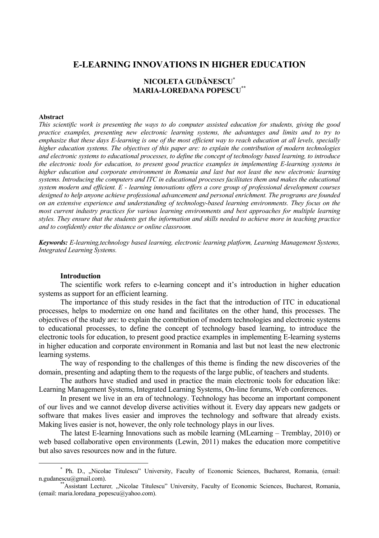# **E-LEARNING INNOVATIONS IN HIGHER EDUCATION**

# **NICOLETA GUDĂNESCU\* MARIA-LOREDANA POPESCU\*\***

#### **Abstract**

*This scientific work is presenting the ways to do computer assisted education for students, giving the good practice examples, presenting new electronic learning systems, the advantages and limits and to try to emphasize that these days E-learning is one of the most efficient way to reach education at all levels, specially higher education systems. The objectives of this paper are: to explain the contribution of modern technologies and electronic systems to educational processes, to define the concept of technology based learning, to introduce the electronic tools for education, to present good practice examples in implementing E-learning systems in higher education and corporate environment in Romania and last but not least the new electronic learning systems. Introducing the computers and ITC in educational processes facilitates them and makes the educational system modern and efficient. E - learning innovations offers a core group of professional development courses designed to help anyone achieve professional advancement and personal enrichment. The programs are founded on an extensive experience and understanding of technology-based learning environments. They focus on the most current industry practices for various learning environments and best approaches for multiple learning styles. They ensure that the students get the information and skills needed to achieve more in teaching practice and to confidently enter the distance or online classroom.* 

*Keywords: E-learning,technology based learning, electronic learning platform, Learning Management Systems, Integrated Learning Systems.* 

#### **Introduction**

The scientific work refers to e-learning concept and it's introduction in higher education systems as support for an efficient learning.

The importance of this study resides in the fact that the introduction of ITC in educational processes, helps to modernize on one hand and facilitates on the other hand, this processes. The objectives of the study are: to explain the contribution of modern technologies and electronic systems to educational processes, to define the concept of technology based learning, to introduce the electronic tools for education, to present good practice examples in implementing E-learning systems in higher education and corporate environment in Romania and last but not least the new electronic learning systems.

The way of responding to the challenges of this theme is finding the new discoveries of the domain, presenting and adapting them to the requests of the large public, of teachers and students.

The authors have studied and used in practice the main electronic tools for education like: Learning Management Systems, Integrated Learning Systems, On-line forums, Web conferences.

In present we live in an era of technology. Technology has become an important component of our lives and we cannot develop diverse activities without it. Every day appears new gadgets or software that makes lives easier and improves the technology and software that already exists. Making lives easier is not, however, the only role technology plays in our lives.

The latest E-learning Innovations such as mobile learning (MLearning – Tremblay, 2010) or web based collaborative open environments (Lewin, 2011) makes the education more competitive but also saves resources now and in the future.

Ph. D., "Nicolae Titulescu" University, Faculty of Economic Sciences, Bucharest, Romania, (email: n.gudanescu@gmail.com). \*\*Assistant Lecturer*,* "Nicolae Titulescu" University, Faculty of Economic Sciences, Bucharest, Romania,

<sup>(</sup>email: maria.loredana\_popescu@yahoo.com).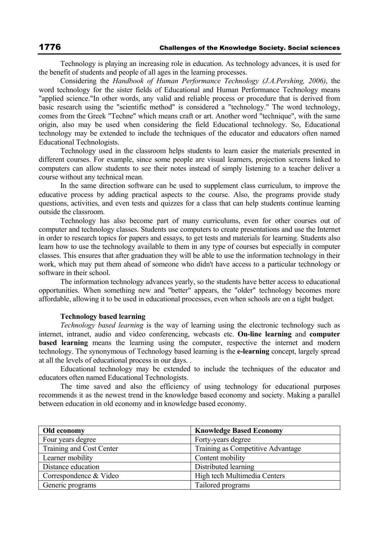Technology is playing an increasing role in education. As technology advances, it is used for the benefit of students and people of all ages in the learning processes.

Considering the *Handbook of Human Performance Technology (J.A.Pershing, 2006)*, the word technology for the sister fields of Educational and Human Performance Technology means "applied science."In other words, any valid and reliable process or procedure that is derived from basic research using the "scientific method" is considered a "technology." The word technology, comes from the Greek "Techne" which means craft or art. Another word "technique", with the same origin, also may be used when considering the field Educational technology. So, Educational technology may be extended to include the techniques of the educator and educators often named Educational Technologists.

Technology used in the classroom helps students to learn easier the materials presented in different courses. For example, since some people are visual learners, projection screens linked to computers can allow students to see their notes instead of simply listening to a teacher deliver a course without any technical mean.

In the same direction software can be used to supplement class curriculum, to improve the educative process by adding practical aspects to the course. Also, the programs provide study questions, activities, and even tests and quizzes for a class that can help students continue learning outside the classroom.

Technology has also become part of many curriculums, even for other courses out of computer and technology classes. Students use computers to create presentations and use the Internet in order to research topics for papers and essays, to get tests and materials for learning. Students also learn how to use the technology available to them in any type of courses but especially in computer classes. This ensures that after graduation they will be able to use the information technology in their work, which may put them ahead of someone who didn't have access to a particular technology or software in their school.

The information technology advances yearly, so the students have better access to educational opportunities. When something new and "better" appears, the "older" technology becomes more affordable, allowing it to be used in educational processes, even when schools are on a tight budget.

## **Technology based learning**

*Technology based learning* is the way of learning using the electronic technology such as internet, intranet, audio and video conferencing, webcasts etc. **On-line learning** and **computer based learning** means the learning using the computer, respective the internet and modern technology. The synonymous of Technology based learning is the **e-learning** concept, largely spread at all the levels of educational process in our days. .

Educational technology may be extended to include the techniques of the educator and educators often named Educational Technologists.

The time saved and also the efficiency of using technology for educational purposes recommends it as the newest trend in the knowledge based economy and society. Making a parallel between education in old economy and in knowledge based economy.

| Old economy              | <b>Knowledge Based Economy</b>    |
|--------------------------|-----------------------------------|
| Four years degree        | Forty-years degree                |
| Training and Cost Center | Training as Competitive Advantage |
| Learner mobility         | Content mobility                  |
| Distance education       | Distributed learning              |
| Correspondence & Video   | High tech Multimedia Centers      |
| Generic programs         | Tailored programs                 |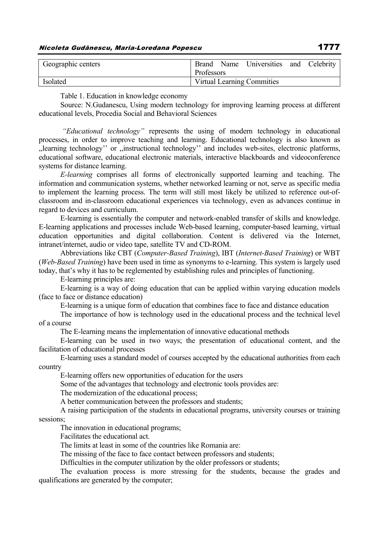Nicoleta Gudănescu, Maria-Loredana Popescu 1777

| Geographic centers |                            |  | Brand Name Universities and Celebrity |  |  |
|--------------------|----------------------------|--|---------------------------------------|--|--|
|                    | Professors                 |  |                                       |  |  |
| Isolated           | Virtual Learning Commities |  |                                       |  |  |

Table 1. Education in knowledge economy

Source: N.Gudanescu, Using modern technology for improving learning process at different educational levels, Procedia Social and Behavioral Sciences

 *"Educational technology"* represents the using of modern technology in educational processes, in order to improve teaching and learning. Educational technology is also known as ,,learning technology'' or ,,instructional technology'' and includes web-sites, electronic platforms, educational software, educational electronic materials, interactive blackboards and videoconference systems for distance learning.

*E-learning* comprises all forms of electronically supported learning and teaching. The information and communication systems, whether networked learning or not, serve as specific media to implement the learning process. The term will still most likely be utilized to reference out-ofclassroom and in-classroom educational experiences via technology, even as advances continue in regard to devices and curriculum.

E-learning is essentially the computer and network-enabled transfer of skills and knowledge. E-learning applications and processes include Web-based learning, computer-based learning, virtual education opportunities and digital collaboration. Content is delivered via the Internet, intranet/internet, audio or video tape, satellite TV and CD-ROM.

Abbreviations like CBT (*Computer-Based Training*), IBT (*Internet-Based Training*) or WBT (*Web-Based Training*) have been used in time as synonyms to e-learning. This system is largely used today, that's why it has to be reglemented by establishing rules and principles of functioning.

E-learning principles are:

E-learning is a way of doing education that can be applied within varying education models (face to face or distance education)

E-learning is a unique form of education that combines face to face and distance education

The importance of how is technology used in the educational process and the technical level of a course

The E-learning means the implementation of innovative educational methods

E-learning can be used in two ways; the presentation of educational content, and the facilitation of educational processes

E-learning uses a standard model of courses accepted by the educational authorities from each country

E-learning offers new opportunities of education for the users

Some of the advantages that technology and electronic tools provides are:

The modernization of the educational process;

A better communication between the professors and students;

A raising participation of the students in educational programs, university courses or training sessions;

The innovation in educational programs;

Facilitates the educational act.

The limits at least in some of the countries like Romania are:

The missing of the face to face contact between professors and students;

Difficulties in the computer utilization by the older professors or students;

The evaluation process is more stressing for the students, because the grades and qualifications are generated by the computer;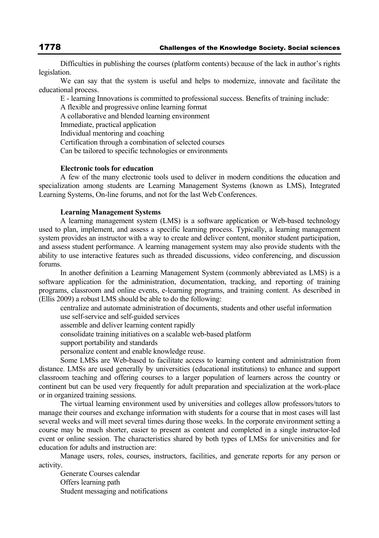Difficulties in publishing the courses (platform contents) because of the lack in author's rights legislation.

We can say that the system is useful and helps to modernize, innovate and facilitate the educational process.

E - learning Innovations is committed to professional success. Benefits of training include:

A flexible and progressive online learning format

A collaborative and blended learning environment

Immediate, practical application

Individual mentoring and coaching

Certification through a combination of selected courses

Can be tailored to specific technologies or environments

# **Electronic tools for education**

A few of the many electronic tools used to deliver in modern conditions the education and specialization among students are Learning Management Systems (known as LMS), Integrated Learning Systems, On-line forums, and not for the last Web Conferences.

# **Learning Management Systems**

A learning management system (LMS) is a software application or Web-based technology used to plan, implement, and assess a specific learning process. Typically, a learning management system provides an instructor with a way to create and deliver content, monitor student participation, and assess student performance. A learning management system may also provide students with the ability to use interactive features such as threaded discussions, video conferencing, and discussion forums.

In another definition a Learning Management System (commonly abbreviated as LMS) is a software application for the administration, documentation, tracking, and reporting of training programs, classroom and online events, e-learning programs, and training content. As described in (Ellis 2009) a robust LMS should be able to do the following:

centralize and automate administration of documents, students and other useful information use self-service and self-guided services

assemble and deliver learning content rapidly

consolidate training initiatives on a scalable web-based platform

support portability and standards

personalize content and enable knowledge reuse.

Some LMSs are Web-based to facilitate access to learning content and administration from distance. LMSs are used generally by universities (educational institutions) to enhance and support classroom teaching and offering courses to a larger population of learners across the country or continent but can be used very frequently for adult preparation and specialization at the work-place or in organized training sessions.

The virtual learning environment used by universities and colleges allow professors/tutors to manage their courses and exchange information with students for a course that in most cases will last several weeks and will meet several times during those weeks. In the corporate environment setting a course may be much shorter, easier to present as content and completed in a single instructor-led event or online session. The characteristics shared by both types of LMSs for universities and for education for adults and instruction are:

Manage users, roles, courses, instructors, facilities, and generate reports for any person or activity.

Generate Courses calendar Offers learning path Student messaging and notifications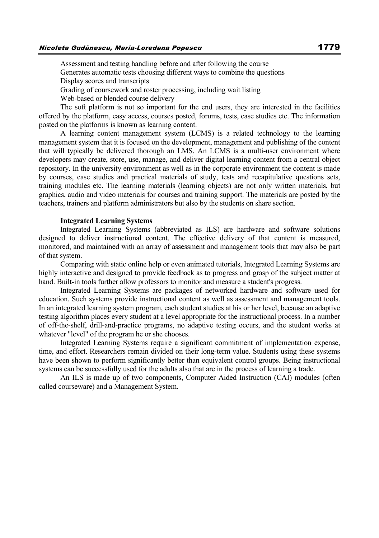Assessment and testing handling before and after following the course Generates automatic tests choosing different ways to combine the questions Display scores and transcripts Grading of coursework and roster processing, including wait listing Web-based or blended course delivery

The soft platform is not so important for the end users, they are interested in the facilities offered by the platform, easy access, courses posted, forums, tests, case studies etc. The information posted on the platforms is known as learning content.

A learning content management system (LCMS) is a related technology to the learning management system that it is focused on the development, management and publishing of the content that will typically be delivered thorough an LMS. An LCMS is a multi-user environment where developers may create, store, use, manage, and deliver digital learning content from a central object repository. In the university environment as well as in the corporate environment the content is made by courses, case studies and practical materials of study, tests and recapitulative questions sets, training modules etc. The learning materials (learning objects) are not only written materials, but graphics, audio and video materials for courses and training support. The materials are posted by the teachers, trainers and platform administrators but also by the students on share section.

#### **Integrated Learning Systems**

Integrated Learning Systems (abbreviated as ILS) are hardware and software solutions designed to deliver instructional content. The effective delivery of that content is measured, monitored, and maintained with an array of assessment and management tools that may also be part of that system.

Comparing with static online help or even animated tutorials, Integrated Learning Systems are highly interactive and designed to provide feedback as to progress and grasp of the subject matter at hand. Built-in tools further allow professors to monitor and measure a student's progress.

Integrated Learning Systems are packages of networked hardware and software used for education. Such systems provide instructional content as well as assessment and management tools. In an integrated learning system program, each student studies at his or her level, because an adaptive testing algorithm places every student at a level appropriate for the instructional process. In a number of off-the-shelf, drill-and-practice programs, no adaptive testing occurs, and the student works at whatever "level" of the program he or she chooses.

Integrated Learning Systems require a significant commitment of implementation expense, time, and effort. Researchers remain divided on their long-term value. Students using these systems have been shown to perform significantly better than equivalent control groups. Being instructional systems can be successfully used for the adults also that are in the process of learning a trade.

An ILS is made up of two components, Computer Aided Instruction (CAI) modules (often called courseware) and a Management System.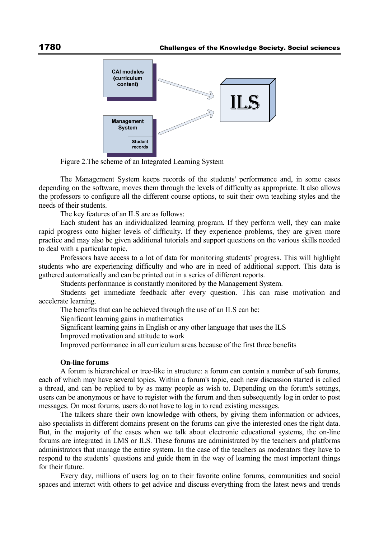

Figure 2.The scheme of an Integrated Learning System

The Management System keeps records of the students' performance and, in some cases depending on the software, moves them through the levels of difficulty as appropriate. It also allows the professors to configure all the different course options, to suit their own teaching styles and the needs of their students.

The key features of an ILS are as follows:

Each student has an individualized learning program. If they perform well, they can make rapid progress onto higher levels of difficulty. If they experience problems, they are given more practice and may also be given additional tutorials and support questions on the various skills needed to deal with a particular topic.

Professors have access to a lot of data for monitoring students' progress. This will highlight students who are experiencing difficulty and who are in need of additional support. This data is gathered automatically and can be printed out in a series of different reports.

Students performance is constantly monitored by the Management System.

Students get immediate feedback after every question. This can raise motivation and accelerate learning.

The benefits that can be achieved through the use of an ILS can be:

Significant learning gains in mathematics

Significant learning gains in English or any other language that uses the ILS

Improved motivation and attitude to work

Improved performance in all curriculum areas because of the first three benefits

## **On-line forums**

A forum is hierarchical or tree-like in structure: a forum can contain a number of sub forums, each of which may have several topics. Within a forum's topic, each new discussion started is called a thread, and can be replied to by as many people as wish to. Depending on the forum's settings, users can be anonymous or have to register with the forum and then subsequently log in order to post messages. On most forums, users do not have to log in to read existing messages.

The talkers share their own knowledge with others, by giving them information or advices, also specialists in different domains present on the forums can give the interested ones the right data. But, in the majority of the cases when we talk about electronic educational systems, the on-line forums are integrated in LMS or ILS. These forums are administrated by the teachers and platforms administrators that manage the entire system. In the case of the teachers as moderators they have to respond to the students' questions and guide them in the way of learning the most important things for their future.

Every day, millions of users log on to their favorite online forums, communities and social spaces and interact with others to get advice and discuss everything from the latest news and trends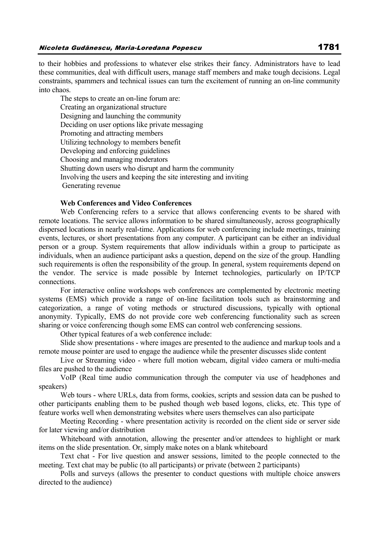to their hobbies and professions to whatever else strikes their fancy. Administrators have to lead these communities, deal with difficult users, manage staff members and make tough decisions. Legal constraints, spammers and technical issues can turn the excitement of running an on-line community into chaos.

The steps to create an on-line forum are: Creating an organizational structure Designing and launching the community Deciding on user options like private messaging Promoting and attracting members Utilizing technology to members benefit Developing and enforcing guidelines Choosing and managing moderators Shutting down users who disrupt and harm the community Involving the users and keeping the site interesting and inviting Generating revenue

### **Web Conferences and Video Conferences**

Web Conferencing refers to a service that allows conferencing events to be shared with remote locations. The service allows information to be shared simultaneously, across geographically dispersed locations in nearly real-time. Applications for web conferencing include meetings, training events, lectures, or short presentations from any computer. A participant can be either an individual person or a group. System requirements that allow individuals within a group to participate as individuals, when an audience participant asks a question, depend on the size of the group. Handling such requirements is often the responsibility of the group. In general, system requirements depend on the vendor. The service is made possible by Internet technologies, particularly on IP/TCP connections.

For interactive online workshops web conferences are complemented by electronic meeting systems (EMS) which provide a range of on-line facilitation tools such as brainstorming and categorization, a range of voting methods or structured discussions, typically with optional anonymity. Typically, EMS do not provide core web conferencing functionality such as screen sharing or voice conferencing though some EMS can control web conferencing sessions.

Other typical features of a web conference include:

Slide show presentations - where images are presented to the audience and markup tools and a remote mouse pointer are used to engage the audience while the presenter discusses slide content

Live or Streaming video - where full motion webcam, digital video camera or multi-media files are pushed to the audience

VoIP (Real time audio communication through the computer via use of headphones and speakers)

Web tours - where URLs, data from forms, cookies, scripts and session data can be pushed to other participants enabling them to be pushed though web based logons, clicks, etc. This type of feature works well when demonstrating websites where users themselves can also participate

Meeting Recording - where presentation activity is recorded on the client side or server side for later viewing and/or distribution

Whiteboard with annotation, allowing the presenter and/or attendees to highlight or mark items on the slide presentation. Or, simply make notes on a blank whiteboard

Text chat - For live question and answer sessions, limited to the people connected to the meeting. Text chat may be public (to all participants) or private (between 2 participants)

Polls and surveys (allows the presenter to conduct questions with multiple choice answers directed to the audience)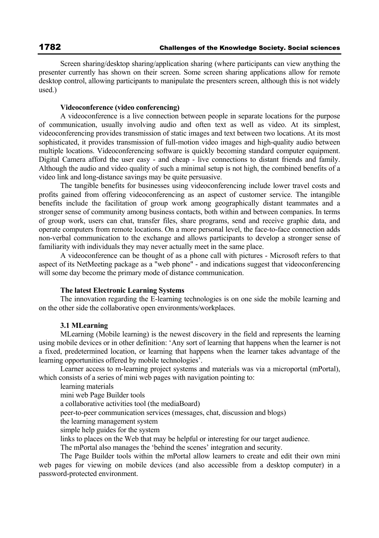Screen sharing/desktop sharing/application sharing (where participants can view anything the presenter currently has shown on their screen. Some screen sharing applications allow for remote desktop control, allowing participants to manipulate the presenters screen, although this is not widely used.)

## **Videoconference (video conferencing)**

A videoconference is a live connection between people in separate locations for the purpose of communication, usually involving audio and often text as well as video. At its simplest, videoconferencing provides transmission of static images and text between two locations. At its most sophisticated, it provides transmission of full-motion video images and high-quality audio between multiple locations. Videoconferencing software is quickly becoming standard computer equipment. Digital Camera afford the user easy - and cheap - live connections to distant friends and family. Although the audio and video quality of such a minimal setup is not high, the combined benefits of a video link and long-distance savings may be quite persuasive.

The tangible benefits for businesses using videoconferencing include lower travel costs and profits gained from offering videoconferencing as an aspect of customer service. The intangible benefits include the facilitation of group work among geographically distant teammates and a stronger sense of community among business contacts, both within and between companies. In terms of group work, users can chat, transfer files, share programs, send and receive graphic data, and operate computers from remote locations. On a more personal level, the face-to-face connection adds non-verbal communication to the exchange and allows participants to develop a stronger sense of familiarity with individuals they may never actually meet in the same place.

A videoconference can be thought of as a phone call with pictures - Microsoft refers to that aspect of its NetMeeting package as a "web phone" - and indications suggest that videoconferencing will some day become the primary mode of distance communication.

#### **The latest Electronic Learning Systems**

The innovation regarding the E-learning technologies is on one side the mobile learning and on the other side the collaborative open environments/workplaces.

## **3.1 MLearning**

MLearning (Mobile learning) is the newest discovery in the field and represents the learning using mobile devices or in other definition: 'Any sort of learning that happens when the learner is not a fixed, predetermined location, or learning that happens when the learner takes advantage of the learning opportunities offered by mobile technologies'.

Learner access to m-learning project systems and materials was via a microportal (mPortal), which consists of a series of mini web pages with navigation pointing to:

learning materials

mini web Page Builder tools

a collaborative activities tool (the mediaBoard)

peer-to-peer communication services (messages, chat, discussion and blogs)

the learning management system

simple help guides for the system

links to places on the Web that may be helpful or interesting for our target audience.

The mPortal also manages the 'behind the scenes' integration and security.

The Page Builder tools within the mPortal allow learners to create and edit their own mini web pages for viewing on mobile devices (and also accessible from a desktop computer) in a password-protected environment.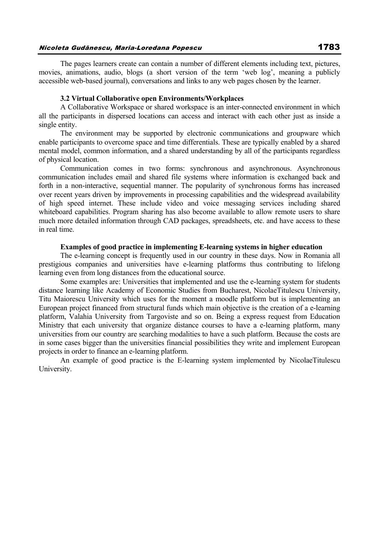The pages learners create can contain a number of different elements including text, pictures, movies, animations, audio, blogs (a short version of the term 'web log', meaning a publicly accessible web-based journal), conversations and links to any web pages chosen by the learner.

#### **3.2 Virtual Collaborative open Environments/Workplaces**

A Collaborative Workspace or shared workspace is an inter-connected environment in which all the participants in dispersed locations can access and interact with each other just as inside a single entity.

The environment may be supported by electronic communications and groupware which enable participants to overcome space and time differentials. These are typically enabled by a shared mental model, common information, and a shared understanding by all of the participants regardless of physical location.

Communication comes in two forms: synchronous and asynchronous. Asynchronous communication includes email and shared file systems where information is exchanged back and forth in a non-interactive, sequential manner. The popularity of synchronous forms has increased over recent years driven by improvements in processing capabilities and the widespread availability of high speed internet. These include video and voice messaging services including shared whiteboard capabilities. Program sharing has also become available to allow remote users to share much more detailed information through CAD packages, spreadsheets, etc. and have access to these in real time.

## **Examples of good practice in implementing E-learning systems in higher education**

The e-learning concept is frequently used in our country in these days. Now in Romania all prestigious companies and universities have e-learning platforms thus contributing to lifelong learning even from long distances from the educational source.

Some examples are: Universities that implemented and use the e-learning system for students distance learning like Academy of Economic Studies from Bucharest, NicolaeTitulescu University, Titu Maiorescu University which uses for the moment a moodle platform but is implementing an European project financed from structural funds which main objective is the creation of a e-learning platform, Valahia University from Targoviste and so on. Being a express request from Education Ministry that each university that organize distance courses to have a e-learning platform, many universities from our country are searching modalities to have a such platform. Because the costs are in some cases bigger than the universities financial possibilities they write and implement European projects in order to finance an e-learning platform.

An example of good practice is the E-learning system implemented by NicolaeTitulescu University.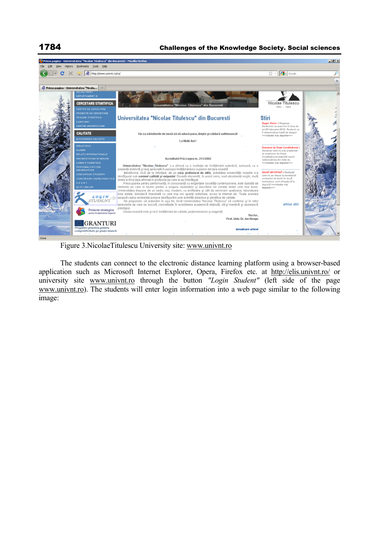

Figure 3.NicolaeTitulescu University site: www.univnt.ro

The students can connect to the electronic distance learning platform using a browser-based application such as Microsoft Internet Explorer, Opera, Firefox etc. at http://elis.univnt.ro/ or university site www.univnt.ro through the button *"Login Student"* (left side of the page www.univnt.ro). The students will enter login information into a web page similar to the following image: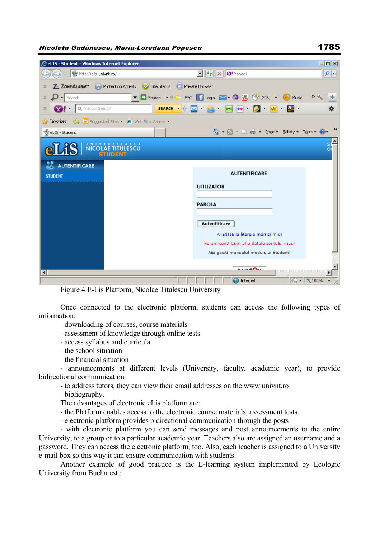Nicoleta Gudănescu, Maria-Loredana Popescu 1785

| eLIS - Student - Windows Internet Explorer                              | $\Box$ o $\times$                                                                                                             |  |  |  |  |
|-------------------------------------------------------------------------|-------------------------------------------------------------------------------------------------------------------------------|--|--|--|--|
| ■ http://elis.univnt.ro/                                                | $\mathbf{v}$ $\mathbf{v}$ $\mathbf{v}$ $\mathbf{v}$ $\mathbf{v}$ $\mathbf{v}$ $\mathbf{v}$ $\mathbf{v}$<br>۹<br>$\vert \cdot$ |  |  |  |  |
| ZA ZONEALARM O Protection Activity V Site Status I Private Browser<br>X |                                                                                                                               |  |  |  |  |
| $\Box$ $\lnot$ Search<br>x                                              | $\mathbf{y}$ of<br>l th                                                                                                       |  |  |  |  |
| Q Yahoo! Search<br>x                                                    | <b>SEARCH</b> $\bullet$<br>$\left[ \left( \mathbf{r}\right) \right]$<br>$\bullet$<br><b>eti</b><br>森                          |  |  |  |  |
| ↑ Favorites   Suggested Sites ▼ ● Web Slice Gallery ▼                   |                                                                                                                               |  |  |  |  |
| eLIS - Student                                                          | $\rightarrow$<br><b>个 同 - 国 — - Page - Safety - Tools - ② -</b>                                                               |  |  |  |  |
| <b>NICO</b>                                                             | Ör                                                                                                                            |  |  |  |  |
|                                                                         |                                                                                                                               |  |  |  |  |
| <b>AUTENTIFICARE</b>                                                    | <b>AUTENTIFICARE</b>                                                                                                          |  |  |  |  |
| <b>STUDENT</b>                                                          |                                                                                                                               |  |  |  |  |
|                                                                         | <b>UTILIZATOR</b>                                                                                                             |  |  |  |  |
|                                                                         | <b>PAROLA</b>                                                                                                                 |  |  |  |  |
|                                                                         |                                                                                                                               |  |  |  |  |
|                                                                         | <b>Autentificare</b>                                                                                                          |  |  |  |  |
|                                                                         | ATENTIE la literele mari si mici!<br>Nu am cont! Cum aflu datele contului meu!                                                |  |  |  |  |
|                                                                         | Aici gasiti manualul modulului Student!                                                                                       |  |  |  |  |
|                                                                         |                                                                                                                               |  |  |  |  |
| $\blacksquare$                                                          | $L = L$                                                                                                                       |  |  |  |  |
|                                                                         | $\frac{1}{2}$ - $\frac{1}{2}$ 100%<br><b>D</b> Internet                                                                       |  |  |  |  |

Figure 4.E-Lis Platform, Nicolae Titulescu University

Once connected to the electronic platform, students can access the following types of information:

- downloading of courses, course materials

- assessment of knowledge through online tests
- access syllabus and curricula
- the school situation
- the financial situation

- announcements at different levels (University, faculty, academic year), to provide bidirectional communication

- to address tutors, they can view their email addresses on the www.univnt.ro

- bibliography.

The advantages of electronic eLis platform are:

- the Platform enables access to the electronic course materials, assessment tests

- electronic platform provides bidirectional communication through the posts

- with electronic platform you can send messages and post announcements to the entire University, to a group or to a particular academic year. Teachers also are assigned an username and a password. They can access the electronic platform, too. Also, each teacher is assigned to a University e-mail box so this way it can ensure communication with students.

Another example of good practice is the E-learning system implemented by Ecologic University from Bucharest :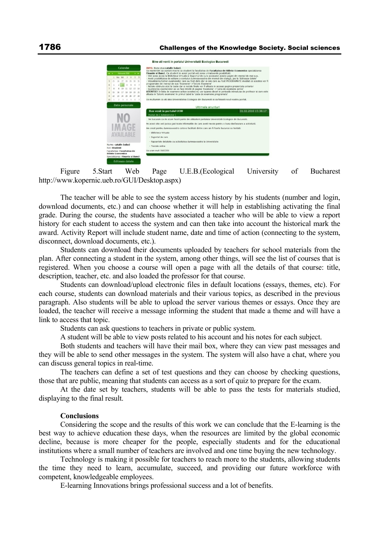# 1786 Challenges of the Knowledge Society. Social sciences



Figure 5.Start Web Page U.E.B.(Ecological University of Bucharest http://www.kopernic.ueb.ro/GUI/Desktop.aspx)

The teacher will be able to see the system access history by his students (number and login, download documents, etc.) and can choose whether it will help in establishing activating the final grade. During the course, the students have associated a teacher who will be able to view a report history for each student to access the system and can then take into account the historical mark the award. Activity Report will include student name, date and time of action (connecting to the system, disconnect, download documents, etc.).

Students can download their documents uploaded by teachers for school materials from the plan. After connecting a student in the system, among other things, will see the list of courses that is registered. When you choose a course will open a page with all the details of that course: title, description, teacher, etc. and also loaded the professor for that course.

Students can download/upload electronic files in default locations (essays, themes, etc). For each course, students can download materials and their various topics, as described in the previous paragraph. Also students will be able to upload the server various themes or essays. Once they are loaded, the teacher will receive a message informing the student that made a theme and will have a link to access that topic.

Students can ask questions to teachers in private or public system.

A student will be able to view posts related to his account and his notes for each subject.

Both students and teachers will have their mail box, where they can view past messages and they will be able to send other messages in the system. The system will also have a chat, where you can discuss general topics in real-time.

The teachers can define a set of test questions and they can choose by checking questions, those that are public, meaning that students can access as a sort of quiz to prepare for the exam.

At the date set by teachers, students will be able to pass the tests for materials studied, displaying to the final result.

#### **Conclusions**

Considering the scope and the results of this work we can conclude that the E-learning is the best way to achieve education these days, when the resources are limited by the global economic decline, because is more cheaper for the people, especially students and for the educational institutions where a small number of teachers are involved and one time buying the new technology.

Technology is making it possible for teachers to reach more to the students, allowing students the time they need to learn, accumulate, succeed, and providing our future workforce with competent, knowledgeable employees.

E-learning Innovations brings professional success and a lot of benefits.